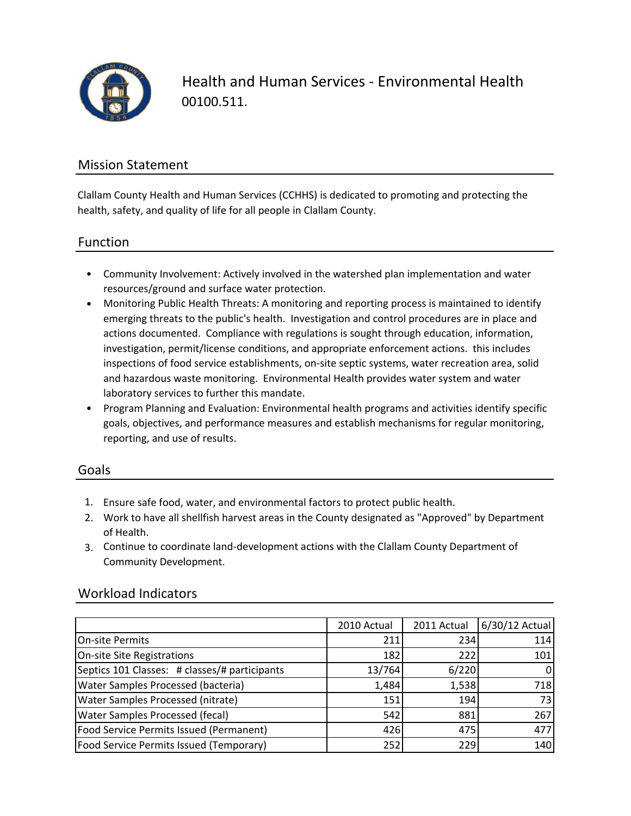

Health and Human Services ‐ Environmental Health 00100.511.

### Mission Statement

Clallam County Health and Human Services (CCHHS) is dedicated to promoting and protecting the health, safety, and quality of life for all people in Clallam County.

### Function

- Community Involvement: Actively involved in the watershed plan implementation and water resources/ground and surface water protection.
- Monitoring Public Health Threats: A monitoring and reporting process is maintained to identify emerging threats to the public's health. Investigation and control procedures are in place and actions documented. Compliance with regulations is sought through education, information, investigation, permit/license conditions, and appropriate enforcement actions. this includes inspections of food service establishments, on-site septic systems, water recreation area, solid and hazardous waste monitoring. Environmental Health provides water system and water laboratory services to further this mandate.
- Program Planning and Evaluation: Environmental health programs and activities identify specific goals, objectives, and performance measures and establish mechanisms for regular monitoring, reporting, and use of results.

#### Goals

- 1. Ensure safe food, water, and environmental factors to protect public health.
- 2. Work to have all shellfish harvest areas in the County designated as "Approved" by Department of Health.
- 3. Continue to coordinate land‐development actions with the Clallam County Department of Community Development.

### Workload Indicators

|                                               | 2010 Actual | 2011 Actual | 6/30/12 Actual |
|-----------------------------------------------|-------------|-------------|----------------|
| On-site Permits                               | 211         | 234         | 114            |
| On-site Site Registrations                    | 182         | 222         | 101            |
| Septics 101 Classes: # classes/# participants | 13/764      | 6/220       |                |
| <b>Water Samples Processed (bacteria)</b>     | 1,484       | 1,538       | 718            |
| <b>Water Samples Processed (nitrate)</b>      | 151         | 194         | 73             |
| <b>Water Samples Processed (fecal)</b>        | 542         | 881         | 267            |
| Food Service Permits Issued (Permanent)       | 426         | 475         | 477            |
| Food Service Permits Issued (Temporary)       | 252         | 229         | 140            |